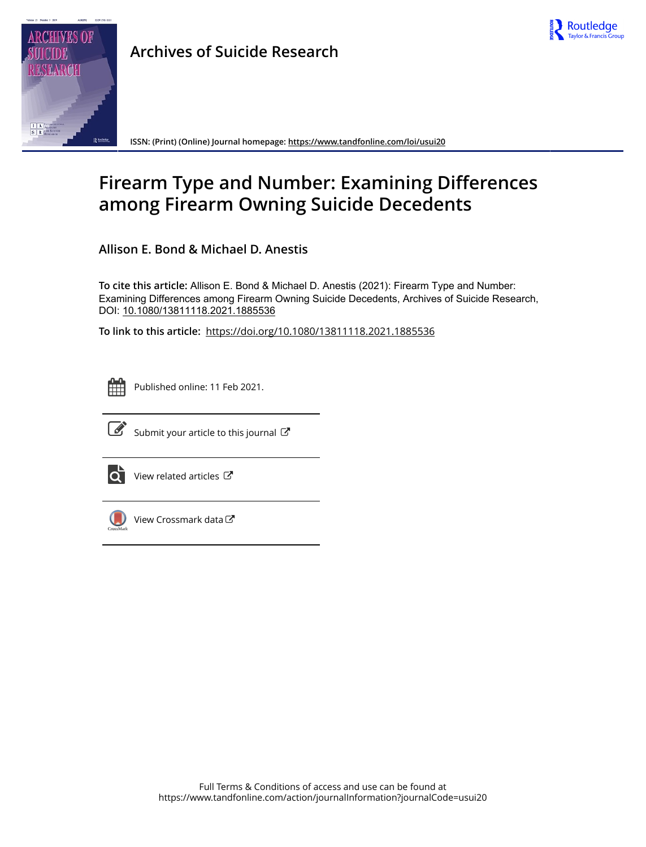



**Archives of Suicide Research**

**ISSN: (Print) (Online) Journal homepage:<https://www.tandfonline.com/loi/usui20>**

# **Firearm Type and Number: Examining Differences among Firearm Owning Suicide Decedents**

**Allison E. Bond & Michael D. Anestis**

**To cite this article:** Allison E. Bond & Michael D. Anestis (2021): Firearm Type and Number: Examining Differences among Firearm Owning Suicide Decedents, Archives of Suicide Research, DOI: [10.1080/13811118.2021.1885536](https://www.tandfonline.com/action/showCitFormats?doi=10.1080/13811118.2021.1885536)

**To link to this article:** <https://doi.org/10.1080/13811118.2021.1885536>



Published online: 11 Feb 2021.



 $\overrightarrow{S}$  [Submit your article to this journal](https://www.tandfonline.com/action/authorSubmission?journalCode=usui20&show=instructions)  $\overrightarrow{S}$ 



 $\bullet$  [View related articles](https://www.tandfonline.com/doi/mlt/10.1080/13811118.2021.1885536)  $\mathbb{Z}$ 



 $\bigcirc$  [View Crossmark data](http://crossmark.crossref.org/dialog/?doi=10.1080/13811118.2021.1885536&domain=pdf&date_stamp=2021-02-11) $\mathbb{Z}$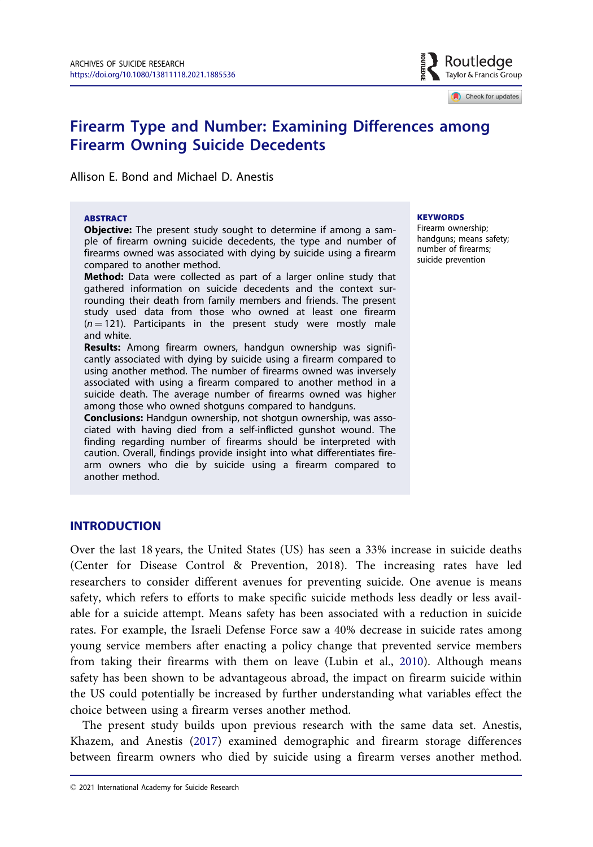

Check for updates

# <span id="page-1-0"></span>Firearm Type and Number: Examining Differences among Firearm Owning Suicide Decedents

Allison E. Bond and Michael D. Anestis

#### ABSTRACT

Objective: The present study sought to determine if among a sample of firearm owning suicide decedents, the type and number of firearms owned was associated with dying by suicide using a firearm compared to another method.

Method: Data were collected as part of a larger online study that gathered information on suicide decedents and the context surrounding their death from family members and friends. The present study used data from those who owned at least one firearm  $(n = 121)$ . Participants in the present study were mostly male and white.

Results: Among firearm owners, handgun ownership was significantly associated with dying by suicide using a firearm compared to using another method. The number of firearms owned was inversely associated with using a firearm compared to another method in a suicide death. The average number of firearms owned was higher among those who owned shotguns compared to handguns.

Conclusions: Handgun ownership, not shotgun ownership, was associated with having died from a self-inflicted gunshot wound. The finding regarding number of firearms should be interpreted with caution. Overall, findings provide insight into what differentiates firearm owners who die by suicide using a firearm compared to another method.

#### **KEYWORDS**

Firearm ownership; handguns; means safety; number of firearms; suicide prevention

# INTRODUCTION

Over the last 18 years, the United States (US) has seen a 33% increase in suicide deaths (Center for Disease Control & Prevention, 2018). The increasing rates have led researchers to consider different avenues for preventing suicide. One avenue is means safety, which refers to efforts to make specific suicide methods less deadly or less available for a suicide attempt. Means safety has been associated with a reduction in suicide rates. For example, the Israeli Defense Force saw a 40% decrease in suicide rates among young service members after enacting a policy change that prevented service members from taking their firearms with them on leave (Lubin et al., [2010\)](#page-8-0). Although means safety has been shown to be advantageous abroad, the impact on firearm suicide within the US could potentially be increased by further understanding what variables effect the choice between using a firearm verses another method.

The present study builds upon previous research with the same data set. Anestis, Khazem, and Anestis ([2017\)](#page-7-0) examined demographic and firearm storage differences between firearm owners who died by suicide using a firearm verses another method.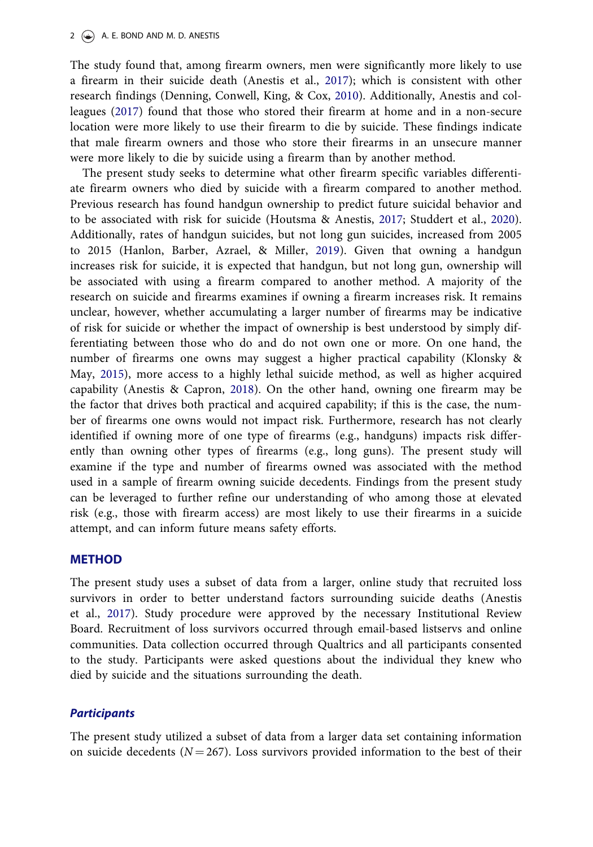<span id="page-2-0"></span>The study found that, among firearm owners, men were significantly more likely to use a firearm in their suicide death (Anestis et al., [2017](#page-7-0)); which is consistent with other research findings (Denning, Conwell, King, & Cox, [2010\)](#page-8-0). Additionally, Anestis and colleagues ([2017\)](#page-7-0) found that those who stored their firearm at home and in a non-secure location were more likely to use their firearm to die by suicide. These findings indicate that male firearm owners and those who store their firearms in an unsecure manner were more likely to die by suicide using a firearm than by another method.

The present study seeks to determine what other firearm specific variables differentiate firearm owners who died by suicide with a firearm compared to another method. Previous research has found handgun ownership to predict future suicidal behavior and to be associated with risk for suicide (Houtsma & Anestis, [2017](#page-8-0); Studdert et al., [2020](#page-8-0)). Additionally, rates of handgun suicides, but not long gun suicides, increased from 2005 to 2015 (Hanlon, Barber, Azrael, & Miller, [2019\)](#page-8-0). Given that owning a handgun increases risk for suicide, it is expected that handgun, but not long gun, ownership will be associated with using a firearm compared to another method. A majority of the research on suicide and firearms examines if owning a firearm increases risk. It remains unclear, however, whether accumulating a larger number of firearms may be indicative of risk for suicide or whether the impact of ownership is best understood by simply differentiating between those who do and do not own one or more. On one hand, the number of firearms one owns may suggest a higher practical capability (Klonsky & May, [2015](#page-8-0)), more access to a highly lethal suicide method, as well as higher acquired capability (Anestis & Capron, [2018\)](#page-7-0). On the other hand, owning one firearm may be the factor that drives both practical and acquired capability; if this is the case, the number of firearms one owns would not impact risk. Furthermore, research has not clearly identified if owning more of one type of firearms (e.g., handguns) impacts risk differently than owning other types of firearms (e.g., long guns). The present study will examine if the type and number of firearms owned was associated with the method used in a sample of firearm owning suicide decedents. Findings from the present study can be leveraged to further refine our understanding of who among those at elevated risk (e.g., those with firearm access) are most likely to use their firearms in a suicide attempt, and can inform future means safety efforts.

## METHOD

The present study uses a subset of data from a larger, online study that recruited loss survivors in order to better understand factors surrounding suicide deaths (Anestis et al., [2017](#page-7-0)). Study procedure were approved by the necessary Institutional Review Board. Recruitment of loss survivors occurred through email-based listservs and online communities. Data collection occurred through Qualtrics and all participants consented to the study. Participants were asked questions about the individual they knew who died by suicide and the situations surrounding the death.

#### **Participants**

The present study utilized a subset of data from a larger data set containing information on suicide decedents ( $N = 267$ ). Loss survivors provided information to the best of their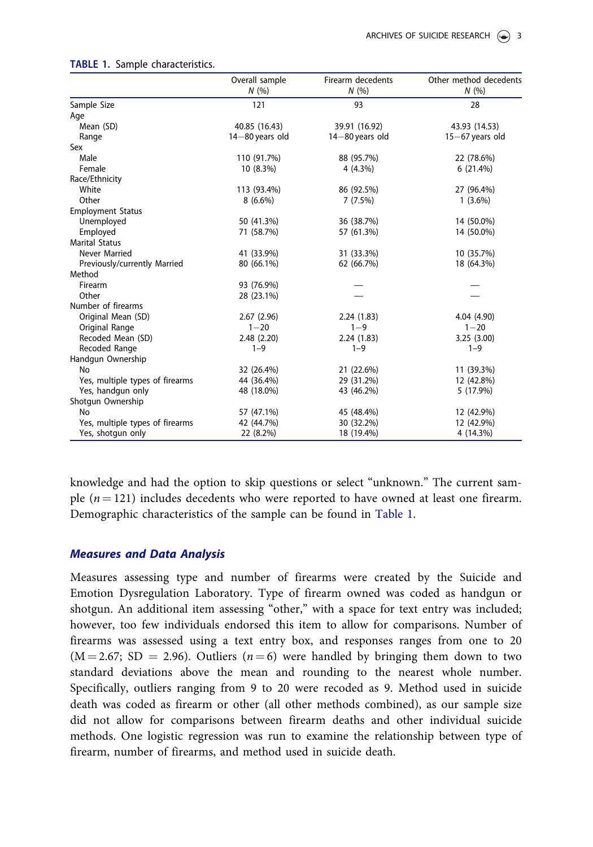|                                 | Overall sample<br>N(%) | Firearm decedents<br>N(% | Other method decedents<br>N(%) |
|---------------------------------|------------------------|--------------------------|--------------------------------|
| Sample Size                     | 121                    | 93                       | 28                             |
| Age                             |                        |                          |                                |
| Mean (SD)                       | 40.85 (16.43)          | 39.91 (16.92)            | 43.93 (14.53)                  |
| Range                           | $14 - 80$ years old    | $14 - 80$ years old      | $15-67$ years old              |
| Sex                             |                        |                          |                                |
| Male                            | 110 (91.7%)            | 88 (95.7%)               | 22 (78.6%)                     |
| Female                          | 10 (8.3%)              | $4(4.3\%)$               | 6(21.4%)                       |
| Race/Ethnicity                  |                        |                          |                                |
| White                           | 113 (93.4%)            | 86 (92.5%)               | 27 (96.4%)                     |
| Other                           | $8(6.6\%)$             | 7(7.5%)                  | $1(3.6\%)$                     |
| <b>Employment Status</b>        |                        |                          |                                |
| Unemployed                      | 50 (41.3%)             | 36 (38.7%)               | 14 (50.0%)                     |
| Employed                        | 71 (58.7%)             | 57 (61.3%)               | 14 (50.0%)                     |
| <b>Marital Status</b>           |                        |                          |                                |
| Never Married                   | 41 (33.9%)             | 31 (33.3%)               | 10 (35.7%)                     |
| Previously/currently Married    | 80 (66.1%)             | 62 (66.7%)               | 18 (64.3%)                     |
| Method                          |                        |                          |                                |
| Firearm                         | 93 (76.9%)             |                          |                                |
| Other                           | 28 (23.1%)             |                          |                                |
| Number of firearms              |                        |                          |                                |
| Original Mean (SD)              | 2.67(2.96)             | 2.24(1.83)               | 4.04 (4.90)                    |
| Original Range                  | $1 - 20$               | $1 - 9$                  | $1 - 20$                       |
| Recoded Mean (SD)               | 2.48(2.20)             | 2.24(1.83)               | 3.25(3.00)                     |
| Recoded Range                   | $1 - 9$                | $1 - 9$                  | $1 - 9$                        |
| Handgun Ownership               |                        |                          |                                |
| <b>No</b>                       | 32 (26.4%)             | 21 (22.6%)               | 11 (39.3%)                     |
| Yes, multiple types of firearms | 44 (36.4%)             | 29 (31.2%)               | 12 (42.8%)                     |
| Yes, handgun only               | 48 (18.0%)             | 43 (46.2%)               | 5 (17.9%)                      |
| Shotgun Ownership               |                        |                          |                                |
| No                              | 57 (47.1%)             | 45 (48.4%)               | 12 (42.9%)                     |
| Yes, multiple types of firearms | 42 (44.7%)             | 30 (32.2%)               | 12 (42.9%)                     |
| Yes, shotgun only               | 22 (8.2%)              | 18 (19.4%)               | 4 (14.3%)                      |

#### TABLE 1. Sample characteristics.

knowledge and had the option to skip questions or select "unknown." The current sample  $(n = 121)$  includes decedents who were reported to have owned at least one firearm. Demographic characteristics of the sample can be found in Table 1.

#### Measures and Data Analysis

Measures assessing type and number of firearms were created by the Suicide and Emotion Dysregulation Laboratory. Type of firearm owned was coded as handgun or shotgun. An additional item assessing "other," with a space for text entry was included; however, too few individuals endorsed this item to allow for comparisons. Number of firearms was assessed using a text entry box, and responses ranges from one to 20  $(M = 2.67; SD = 2.96)$ . Outliers  $(n = 6)$  were handled by bringing them down to two standard deviations above the mean and rounding to the nearest whole number. Specifically, outliers ranging from 9 to 20 were recoded as 9. Method used in suicide death was coded as firearm or other (all other methods combined), as our sample size did not allow for comparisons between firearm deaths and other individual suicide methods. One logistic regression was run to examine the relationship between type of firearm, number of firearms, and method used in suicide death.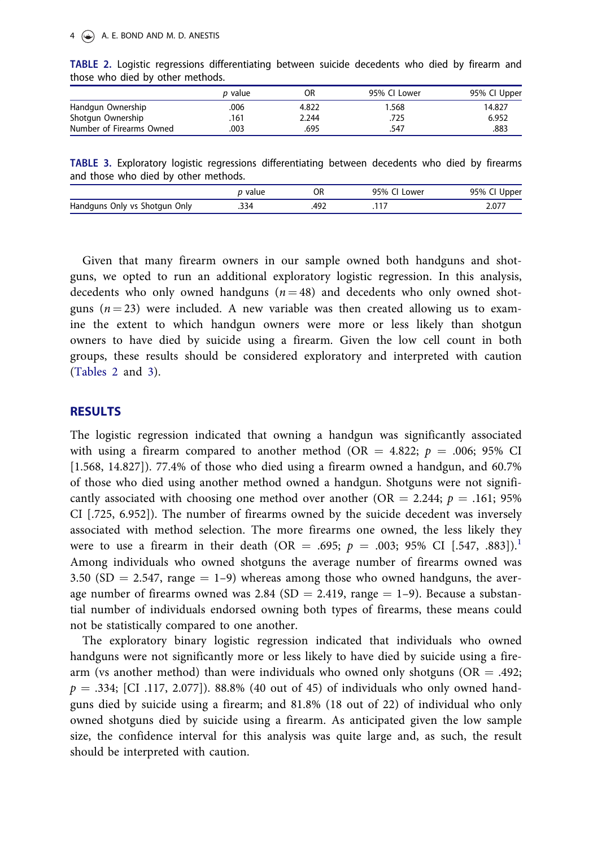#### <span id="page-4-0"></span>4  $\left(\bigstar\right)$  A. E. BOND AND M. D. ANESTIS

|                          | <i>p</i> value | OR    | 95% CI Lower | 95% Cl Upper |  |
|--------------------------|----------------|-------|--------------|--------------|--|
| Handgun Ownership        | .006           | 4.822 | 1.568        | 14.827       |  |
| Shotgun Ownership        | .161           | 2.244 | .725         | 6.952        |  |
| Number of Firearms Owned | 003            | .695  | .547         | .883         |  |

TABLE 2. Logistic regressions differentiating between suicide decedents who died by firearm and those who died by other methods.

|                                      |  | TABLE 3. Exploratory logistic regressions differentiating between decedents who died by firearms |  |  |  |
|--------------------------------------|--|--------------------------------------------------------------------------------------------------|--|--|--|
| and those who died by other methods. |  |                                                                                                  |  |  |  |

|                                          | alue/           | OR  | OE O<br>Lowei<br>$\frac{9}{2}$ | oper<br>95% |
|------------------------------------------|-----------------|-----|--------------------------------|-------------|
| Handguns<br>Only<br>; Only vs<br>Shotaun | <b>ን34</b><br>. | AO' |                                | $2.07^{-}$  |

Given that many firearm owners in our sample owned both handguns and shotguns, we opted to run an additional exploratory logistic regression. In this analysis, decedents who only owned handguns  $(n = 48)$  and decedents who only owned shotguns ( $n = 23$ ) were included. A new variable was then created allowing us to examine the extent to which handgun owners were more or less likely than shotgun owners to have died by suicide using a firearm. Given the low cell count in both groups, these results should be considered exploratory and interpreted with caution (Tables 2 and 3).

# RESULTS

The logistic regression indicated that owning a handgun was significantly associated with using a firearm compared to another method (OR = 4.822;  $p = .006; 95\%$  CI [1.568, 14.827]). 77.4% of those who died using a firearm owned a handgun, and 60.7% of those who died using another method owned a handgun. Shotguns were not significantly associated with choosing one method over another (OR = 2.244;  $p = .161$ ; 95% CI [.725, 6.952]). The number of firearms owned by the suicide decedent was inversely associated with method selection. The more firearms one owned, the less likely they were to use a firearm in their death (OR = .695;  $p = .003$ ; 95% CI [.547, .883]).<sup>[1](#page-7-0)</sup> Among individuals who owned shotguns the average number of firearms owned was 3.50 (SD  $= 2.547$ , range  $= 1-9$ ) whereas among those who owned handguns, the average number of firearms owned was 2.84 (SD = 2.419, range = 1–9). Because a substantial number of individuals endorsed owning both types of firearms, these means could not be statistically compared to one another.

The exploratory binary logistic regression indicated that individuals who owned handguns were not significantly more or less likely to have died by suicide using a firearm (vs another method) than were individuals who owned only shotguns ( $OR = .492$ ;  $p = .334$ ; [CI .117, 2.077]). 88.8% (40 out of 45) of individuals who only owned handguns died by suicide using a firearm; and 81.8% (18 out of 22) of individual who only owned shotguns died by suicide using a firearm. As anticipated given the low sample size, the confidence interval for this analysis was quite large and, as such, the result should be interpreted with caution.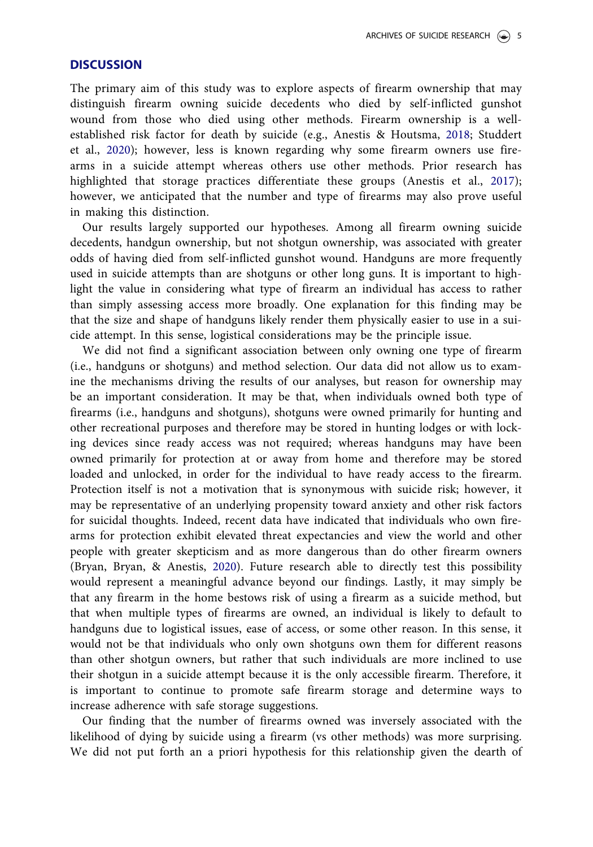## <span id="page-5-0"></span>**DISCUSSION**

The primary aim of this study was to explore aspects of firearm ownership that may distinguish firearm owning suicide decedents who died by self-inflicted gunshot wound from those who died using other methods. Firearm ownership is a wellestablished risk factor for death by suicide (e.g., Anestis & Houtsma, [2018](#page-7-0); Studdert et al., [2020\)](#page-8-0); however, less is known regarding why some firearm owners use firearms in a suicide attempt whereas others use other methods. Prior research has highlighted that storage practices differentiate these groups (Anestis et al., [2017](#page-7-0)); however, we anticipated that the number and type of firearms may also prove useful in making this distinction.

Our results largely supported our hypotheses. Among all firearm owning suicide decedents, handgun ownership, but not shotgun ownership, was associated with greater odds of having died from self-inflicted gunshot wound. Handguns are more frequently used in suicide attempts than are shotguns or other long guns. It is important to highlight the value in considering what type of firearm an individual has access to rather than simply assessing access more broadly. One explanation for this finding may be that the size and shape of handguns likely render them physically easier to use in a suicide attempt. In this sense, logistical considerations may be the principle issue.

We did not find a significant association between only owning one type of firearm (i.e., handguns or shotguns) and method selection. Our data did not allow us to examine the mechanisms driving the results of our analyses, but reason for ownership may be an important consideration. It may be that, when individuals owned both type of firearms (i.e., handguns and shotguns), shotguns were owned primarily for hunting and other recreational purposes and therefore may be stored in hunting lodges or with locking devices since ready access was not required; whereas handguns may have been owned primarily for protection at or away from home and therefore may be stored loaded and unlocked, in order for the individual to have ready access to the firearm. Protection itself is not a motivation that is synonymous with suicide risk; however, it may be representative of an underlying propensity toward anxiety and other risk factors for suicidal thoughts. Indeed, recent data have indicated that individuals who own firearms for protection exhibit elevated threat expectancies and view the world and other people with greater skepticism and as more dangerous than do other firearm owners (Bryan, Bryan, & Anestis, [2020\)](#page-7-0). Future research able to directly test this possibility would represent a meaningful advance beyond our findings. Lastly, it may simply be that any firearm in the home bestows risk of using a firearm as a suicide method, but that when multiple types of firearms are owned, an individual is likely to default to handguns due to logistical issues, ease of access, or some other reason. In this sense, it would not be that individuals who only own shotguns own them for different reasons than other shotgun owners, but rather that such individuals are more inclined to use their shotgun in a suicide attempt because it is the only accessible firearm. Therefore, it is important to continue to promote safe firearm storage and determine ways to increase adherence with safe storage suggestions.

Our finding that the number of firearms owned was inversely associated with the likelihood of dying by suicide using a firearm (vs other methods) was more surprising. We did not put forth an a priori hypothesis for this relationship given the dearth of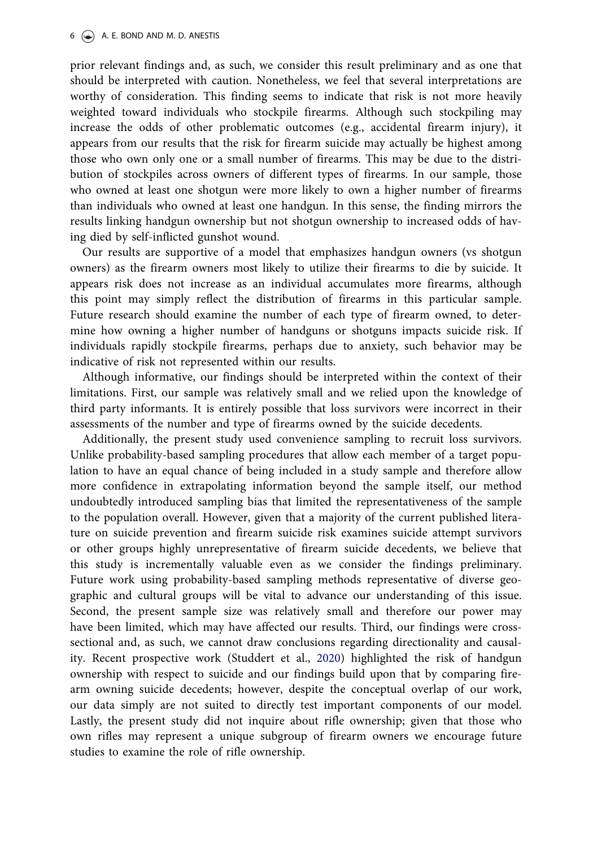prior relevant findings and, as such, we consider this result preliminary and as one that should be interpreted with caution. Nonetheless, we feel that several interpretations are worthy of consideration. This finding seems to indicate that risk is not more heavily weighted toward individuals who stockpile firearms. Although such stockpiling may increase the odds of other problematic outcomes (e.g., accidental firearm injury), it appears from our results that the risk for firearm suicide may actually be highest among those who own only one or a small number of firearms. This may be due to the distribution of stockpiles across owners of different types of firearms. In our sample, those who owned at least one shotgun were more likely to own a higher number of firearms than individuals who owned at least one handgun. In this sense, the finding mirrors the results linking handgun ownership but not shotgun ownership to increased odds of having died by self-inflicted gunshot wound.

Our results are supportive of a model that emphasizes handgun owners (vs shotgun owners) as the firearm owners most likely to utilize their firearms to die by suicide. It appears risk does not increase as an individual accumulates more firearms, although this point may simply reflect the distribution of firearms in this particular sample. Future research should examine the number of each type of firearm owned, to determine how owning a higher number of handguns or shotguns impacts suicide risk. If individuals rapidly stockpile firearms, perhaps due to anxiety, such behavior may be indicative of risk not represented within our results.

Although informative, our findings should be interpreted within the context of their limitations. First, our sample was relatively small and we relied upon the knowledge of third party informants. It is entirely possible that loss survivors were incorrect in their assessments of the number and type of firearms owned by the suicide decedents.

Additionally, the present study used convenience sampling to recruit loss survivors. Unlike probability-based sampling procedures that allow each member of a target population to have an equal chance of being included in a study sample and therefore allow more confidence in extrapolating information beyond the sample itself, our method undoubtedly introduced sampling bias that limited the representativeness of the sample to the population overall. However, given that a majority of the current published literature on suicide prevention and firearm suicide risk examines suicide attempt survivors or other groups highly unrepresentative of firearm suicide decedents, we believe that this study is incrementally valuable even as we consider the findings preliminary. Future work using probability-based sampling methods representative of diverse geographic and cultural groups will be vital to advance our understanding of this issue. Second, the present sample size was relatively small and therefore our power may have been limited, which may have affected our results. Third, our findings were crosssectional and, as such, we cannot draw conclusions regarding directionality and causality. Recent prospective work (Studdert et al., [2020](#page-8-0)) highlighted the risk of handgun ownership with respect to suicide and our findings build upon that by comparing firearm owning suicide decedents; however, despite the conceptual overlap of our work, our data simply are not suited to directly test important components of our model. Lastly, the present study did not inquire about rifle ownership; given that those who own rifles may represent a unique subgroup of firearm owners we encourage future studies to examine the role of rifle ownership.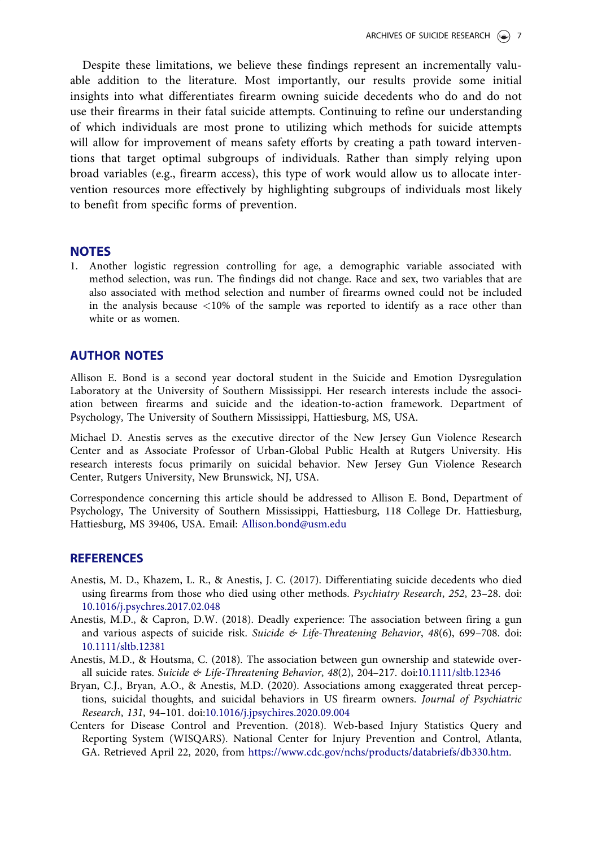<span id="page-7-0"></span>Despite these limitations, we believe these findings represent an incrementally valuable addition to the literature. Most importantly, our results provide some initial insights into what differentiates firearm owning suicide decedents who do and do not use their firearms in their fatal suicide attempts. Continuing to refine our understanding of which individuals are most prone to utilizing which methods for suicide attempts will allow for improvement of means safety efforts by creating a path toward interventions that target optimal subgroups of individuals. Rather than simply relying upon broad variables (e.g., firearm access), this type of work would allow us to allocate intervention resources more effectively by highlighting subgroups of individuals most likely to benefit from specific forms of prevention.

#### **NOTES**

[1](#page-4-0). Another logistic regression controlling for age, a demographic variable associated with method selection, was run. The findings did not change. Race and sex, two variables that are also associated with method selection and number of firearms owned could not be included in the analysis because <10% of the sample was reported to identify as a race other than white or as women.

# AUTHOR NOTES

Allison E. Bond is a second year doctoral student in the Suicide and Emotion Dysregulation Laboratory at the University of Southern Mississippi. Her research interests include the association between firearms and suicide and the ideation-to-action framework. Department of Psychology, The University of Southern Mississippi, Hattiesburg, MS, USA.

Michael D. Anestis serves as the executive director of the New Jersey Gun Violence Research Center and as Associate Professor of Urban-Global Public Health at Rutgers University. His research interests focus primarily on suicidal behavior. New Jersey Gun Violence Research Center, Rutgers University, New Brunswick, NJ, USA.

Correspondence concerning this article should be addressed to Allison E. Bond, Department of Psychology, The University of Southern Mississippi, Hattiesburg, 118 College Dr. Hattiesburg, Hattiesburg, MS 39406, USA. Email: [Allison.bond@usm.edu](mailto:Allison.bond.edu)

#### REFERENCES

- Anestis, M. D., Khazem, L. R., & Anestis, J. C. ([2017\)](#page-1-0). Differentiating suicide decedents who died using firearms from those who died using other methods. Psychiatry Research, 252, 23–28. doi: [10.1016/j.psychres.2017.02.048](https://doi.org/10.1016/j.psychres.2017.02.048)
- Anestis, M.D., & Capron, D.W. ([2018](#page-2-0)). Deadly experience: The association between firing a gun and various aspects of suicide risk. Suicide & Life-Threatening Behavior, 48(6), 699-708. doi: [10.1111/sltb.12381](https://doi.org/10.1111/sltb.12381)
- Anestis, M.D., & Houtsma, C. ([2018](#page-5-0)). The association between gun ownership and statewide over-all suicide rates. Suicide & Life-Threatening Behavior, 48(2), 204-217. doi[:10.1111/sltb.12346](https://doi.org/10.1111/sltb.12346)
- Bryan, C.J., Bryan, A.O., & Anestis, M.D. ([2020\)](#page-5-0). Associations among exaggerated threat perceptions, suicidal thoughts, and suicidal behaviors in US firearm owners. Journal of Psychiatric Research, 131, 94–101. doi:[10.1016/j.jpsychires.2020.09.004](https://doi.org/10.1016/j.jpsychires.2020.09.004)
- Centers for Disease Control and Prevention. (2018). Web-based Injury Statistics Query and Reporting System (WISQARS). National Center for Injury Prevention and Control, Atlanta, GA. Retrieved April 22, 2020, from [https://www.cdc.gov/nchs/products/databriefs/db330.htm.](https://www.cdc.gov/nchs/products/databriefs/db330.htm)